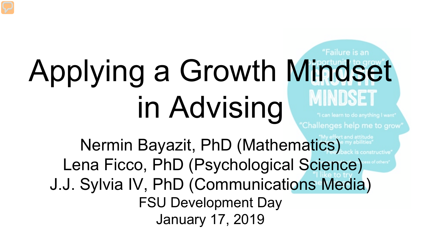# Applying a Growth Mindset in Advising

# "Failure is an

'Challenges help me to grow'

Nermin Bayazit, PhD (Mathematics) Lena Ficco, PhD (Psychological Science) J.J. Sylvia IV, PhD (Communications Media) FSU Development Day January 17, 2019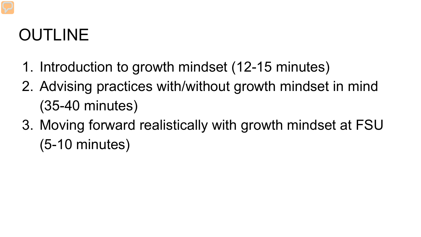#### OUTLINE

- 1. Introduction to growth mindset (12-15 minutes)
- 2. Advising practices with/without growth mindset in mind (35-40 minutes)
- 3. Moving forward realistically with growth mindset at FSU (5-10 minutes)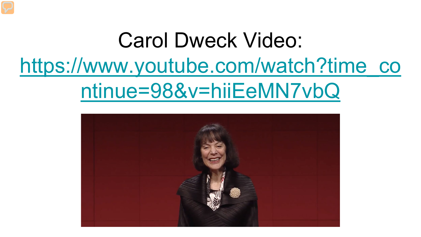## Carol Dweck Video: [https://www.youtube.com/watch?time\\_co](https://www.youtube.com/watch?time_continue=98&v=hiiEeMN7vbQ) ntinue=98&v=hiiEeMN7vbQ

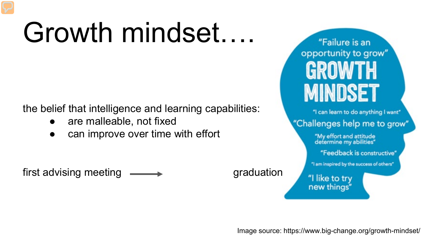## Growth mindset….

the belief that intelligence and learning capabilities:

- are malleable, not fixed
- can improve over time with effort

first advising meeting **Graduation** graduation

"Failure is an opportunity to grow" GROWTH **MINDSET** 

"I can learn to do anything I want"

"Challenges help me to grow"

"My effort and attitude determine my abilities"

"Feedback is constructive"

"I am inspired by the success of others"

"I like to try new things"

Image source: https://www.big-change.org/growth-mindset/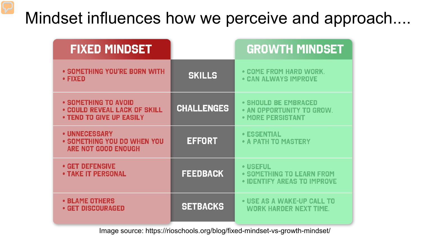#### Mindset influences how we perceive and approach....

| <b>FIXED MINDSET</b>                                                                    |                   | <b>GROWTH MINDSET</b>                                                  |
|-----------------------------------------------------------------------------------------|-------------------|------------------------------------------------------------------------|
| • SOMETHING YOU'RE BORN WITH<br>$\cdot$ FIXED                                           | <b>SKILLS</b>     | • COME FROM HARD WORK.<br><b>• CAN ALWAYS IMPROVE</b>                  |
| • SOMETHING TO AVOID<br><b>• COULD REVEAL LACK OF SKILL</b><br>. TEND TO GIVE UP EASILY | <b>CHALLENGES</b> | • SHOULD BE EMBRACED<br>• AN OPPORTUNITY TO GROW.<br>• MORE PERSISTANT |
| • UNNECESSARY<br>• SOMETHING YOU DO WHEN YOU<br>ARE NOT GOOD ENOUGH                     | <b>EFFORT</b>     | <b>• ESSENTIAL</b><br>• A PATH TO MASTERY                              |
| <b>• GET DEFENSIVE</b><br><b>• TAKE IT PERSONAL</b>                                     | <b>FEEDBACK</b>   | • USEFUL<br>• SOMETHING TO LEARN FROM<br>• IDENTIFY AREAS TO IMPROVE   |
| <b>• BLAME OTHERS</b><br>• GET DISCOURAGED                                              | <b>SETBACKS</b>   | • USE AS A WAKE-UP CALL TO<br><b>WORK HARDER NEXT TIME.</b>            |

Image source: https://rioschools.org/blog/fixed-mindset-vs-growth-mindset/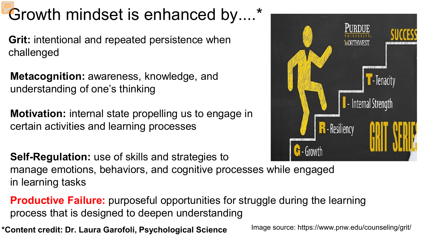#### Growth mindset is enhanced by....\*

**Grit:** intentional and repeated persistence when challenged

**Metacognition:** awareness, knowledge, and understanding of one's thinking

**Motivation:** internal state propelling us to engage in certain activities and learning processes



**Self-Regulation:** use of skills and strategies to manage emotions, behaviors, and cognitive processes while engaged in learning tasks

**Productive Failure:** purposeful opportunities for struggle during the learning process that is designed to deepen understanding

**\*Content credit: Dr. Laura Garofoli, Psychological Science**

Image source: https://www.pnw.edu/counseling/grit/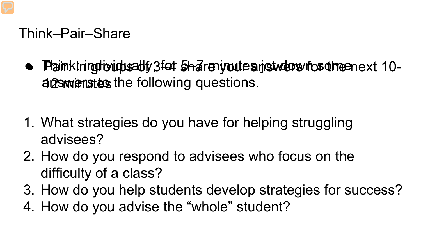#### Think–Pair–Share

- · Plainkining tiviculus all y 3 for 5h-are nutures in student for the enext 10a aswenstes the following questions.
- 1. What strategies do you have for helping struggling advisees?
- 2. How do you respond to advisees who focus on the difficulty of a class?
- 3. How do you help students develop strategies for success?
- 4. How do you advise the "whole" student?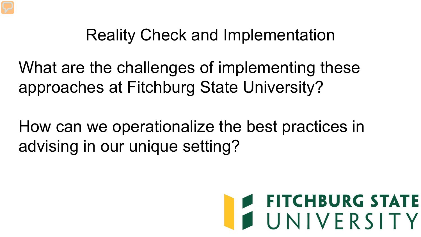#### Reality Check and Implementation

What are the challenges of implementing these approaches at Fitchburg State University?

How can we operationalize the best practices in advising in our unique setting?

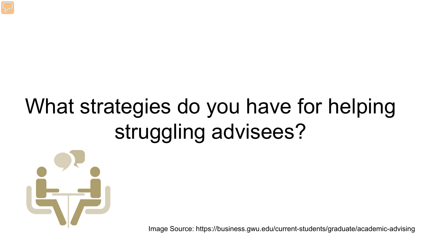## What strategies do you have for helping struggling advisees?



Image Source: https://business.gwu.edu/current-students/graduate/academic-advising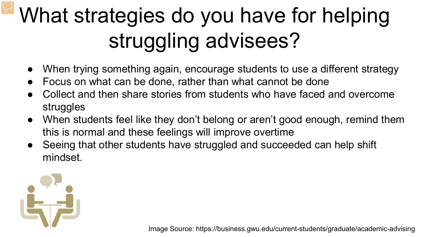## What strategies do you have for helping struggling advisees?

- When trying something again, encourage students to use a different strategy
- Focus on what can be done, rather than what cannot be done
- Collect and then share stories from students who have faced and overcome struggles
- When students feel like they don't belong or aren't good enough, remind them this is normal and these feelings will improve overtime
- Seeing that other students have struggled and succeeded can help shift mindset.



Image Source: https://business.gwu.edu/current-students/graduate/academic-advising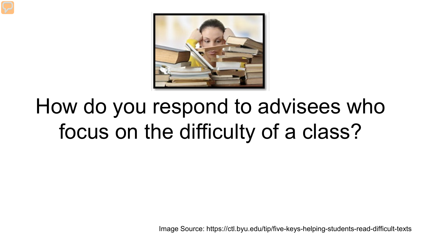

## How do you respond to advisees who focus on the difficulty of a class?

Image Source: https://ctl.byu.edu/tip/five-keys-helping-students-read-difficult-texts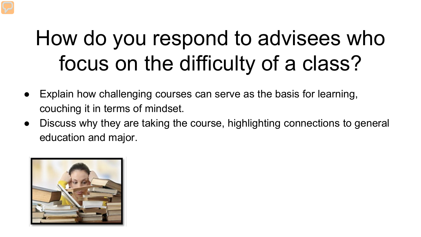## How do you respond to advisees who focus on the difficulty of a class?

- Explain how challenging courses can serve as the basis for learning, couching it in terms of mindset.
- Discuss why they are taking the course, highlighting connections to general education and major.

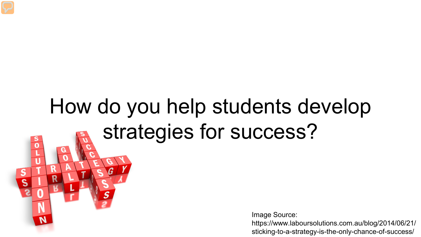## How do you help students develop strategies for success?

 $\overline{0}$ 

 $\mathbf S$ 

Image Source:

https://www.laboursolutions.com.au/blog/2014/06/21/ sticking-to-a-strategy-is-the-only-chance-of-success/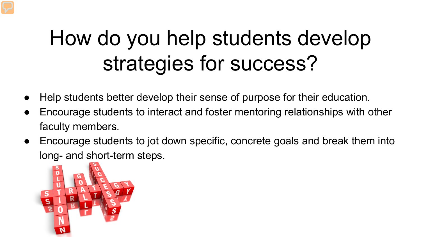## How do you help students develop strategies for success?

- Help students better develop their sense of purpose for their education.
- Encourage students to interact and foster mentoring relationships with other faculty members.
- Encourage students to jot down specific, concrete goals and break them into long- and short-term steps.

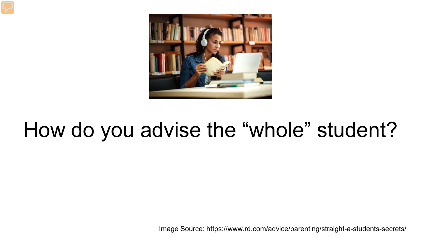

#### How do you advise the "whole" student?

Image Source: https://www.rd.com/advice/parenting/straight-a-students-secrets/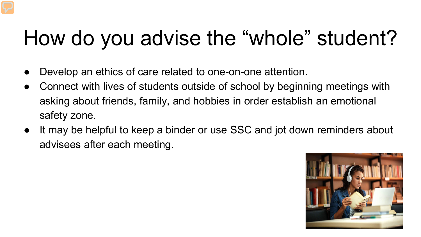## How do you advise the "whole" student?

- Develop an ethics of care related to one-on-one attention.
- Connect with lives of students outside of school by beginning meetings with asking about friends, family, and hobbies in order establish an emotional safety zone.
- It may be helpful to keep a binder or use SSC and jot down reminders about advisees after each meeting.